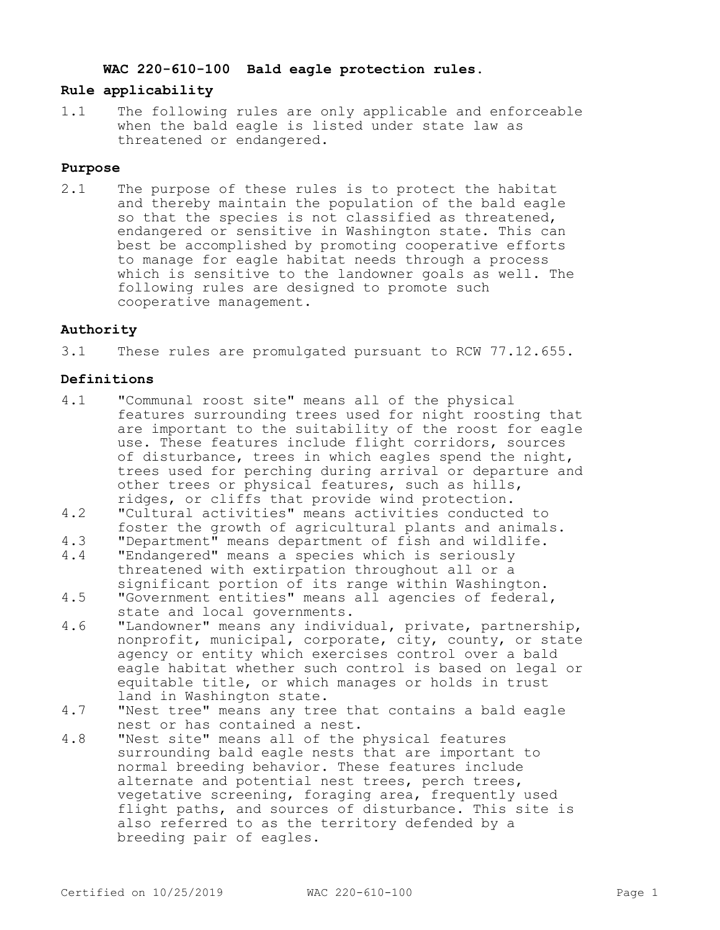#### **WAC 220-610-100 Bald eagle protection rules.**

#### **Rule applicability**

1.1 The following rules are only applicable and enforceable when the bald eagle is listed under state law as threatened or endangered.

#### **Purpose**

2.1 The purpose of these rules is to protect the habitat and thereby maintain the population of the bald eagle so that the species is not classified as threatened, endangered or sensitive in Washington state. This can best be accomplished by promoting cooperative efforts to manage for eagle habitat needs through a process which is sensitive to the landowner goals as well. The following rules are designed to promote such cooperative management.

# **Authority**

3.1 These rules are promulgated pursuant to RCW 77.12.655.

## **Definitions**

- 4.1 "Communal roost site" means all of the physical features surrounding trees used for night roosting that are important to the suitability of the roost for eagle use. These features include flight corridors, sources of disturbance, trees in which eagles spend the night, trees used for perching during arrival or departure and other trees or physical features, such as hills, ridges, or cliffs that provide wind protection.
- 4.2 "Cultural activities" means activities conducted to foster the growth of agricultural plants and animals.
- 4.3 "Department" means department of fish and wildlife.<br>4.4 "Endangered" means a species which is seriously
- "Endangered" means a species which is seriously threatened with extirpation throughout all or a significant portion of its range within Washington. 4.5 "Government entities" means all agencies of federal,
- state and local governments.
- 4.6 "Landowner" means any individual, private, partnership, nonprofit, municipal, corporate, city, county, or state agency or entity which exercises control over a bald eagle habitat whether such control is based on legal or equitable title, or which manages or holds in trust land in Washington state.
- 4.7 "Nest tree" means any tree that contains a bald eagle nest or has contained a nest.
- 4.8 "Nest site" means all of the physical features surrounding bald eagle nests that are important to normal breeding behavior. These features include alternate and potential nest trees, perch trees, vegetative screening, foraging area, frequently used flight paths, and sources of disturbance. This site is also referred to as the territory defended by a breeding pair of eagles.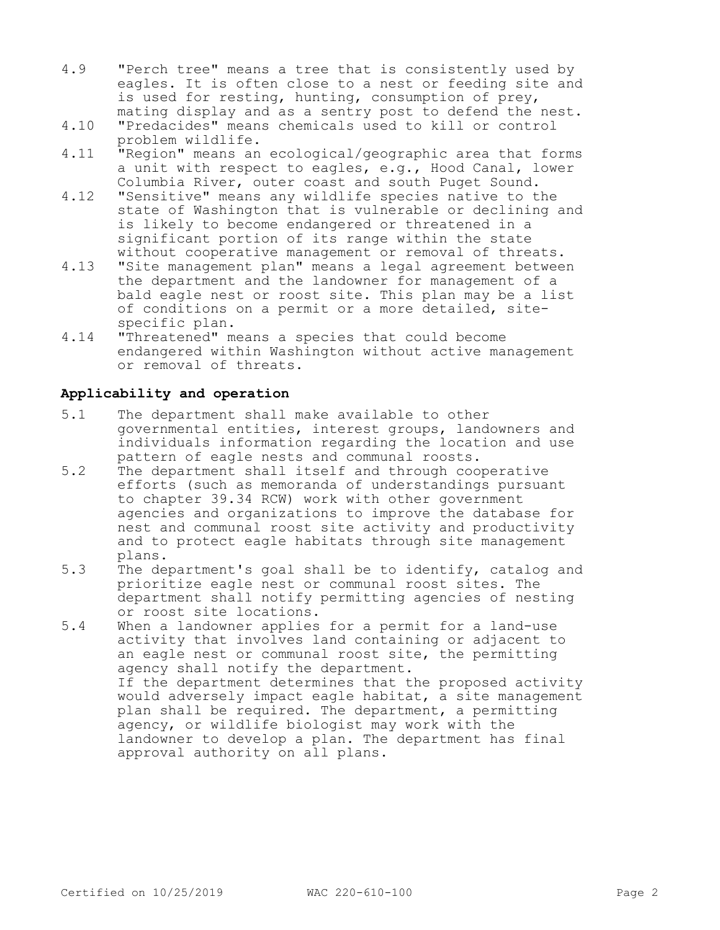- 4.9 "Perch tree" means a tree that is consistently used by eagles. It is often close to a nest or feeding site and is used for resting, hunting, consumption of prey, mating display and as a sentry post to defend the nest.
- 4.10 "Predacides" means chemicals used to kill or control problem wildlife.
- 4.11 "Region" means an ecological/geographic area that forms a unit with respect to eagles, e.g., Hood Canal, lower Columbia River, outer coast and south Puget Sound.
- 4.12 "Sensitive" means any wildlife species native to the state of Washington that is vulnerable or declining and is likely to become endangered or threatened in a significant portion of its range within the state without cooperative management or removal of threats.
- 4.13 "Site management plan" means a legal agreement between the department and the landowner for management of a bald eagle nest or roost site. This plan may be a list of conditions on a permit or a more detailed, sitespecific plan.
- 4.14 "Threatened" means a species that could become endangered within Washington without active management or removal of threats.

## **Applicability and operation**

- 5.1 The department shall make available to other governmental entities, interest groups, landowners and individuals information regarding the location and use pattern of eagle nests and communal roosts.
- 5.2 The department shall itself and through cooperative efforts (such as memoranda of understandings pursuant to chapter 39.34 RCW) work with other government agencies and organizations to improve the database for nest and communal roost site activity and productivity and to protect eagle habitats through site management plans.
- 5.3 The department's goal shall be to identify, catalog and prioritize eagle nest or communal roost sites. The department shall notify permitting agencies of nesting or roost site locations.
- 5.4 When a landowner applies for a permit for a land-use activity that involves land containing or adjacent to an eagle nest or communal roost site, the permitting agency shall notify the department. If the department determines that the proposed activity would adversely impact eagle habitat, a site management plan shall be required. The department, a permitting agency, or wildlife biologist may work with the landowner to develop a plan. The department has final approval authority on all plans.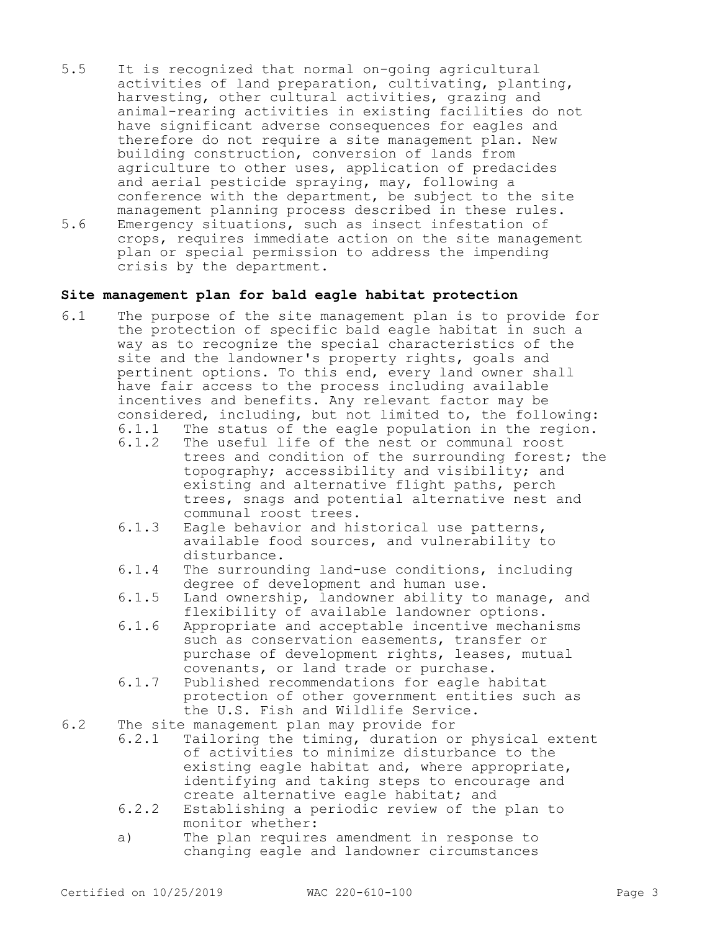- 5.5 It is recognized that normal on-going agricultural activities of land preparation, cultivating, planting, harvesting, other cultural activities, grazing and animal-rearing activities in existing facilities do not have significant adverse consequences for eagles and therefore do not require a site management plan. New building construction, conversion of lands from agriculture to other uses, application of predacides and aerial pesticide spraying, may, following a conference with the department, be subject to the site management planning process described in these rules. 5.6 Emergency situations, such as insect infestation of crops, requires immediate action on the site management
- plan or special permission to address the impending crisis by the department.

## **Site management plan for bald eagle habitat protection**

- 6.1 The purpose of the site management plan is to provide for the protection of specific bald eagle habitat in such a way as to recognize the special characteristics of the site and the landowner's property rights, goals and pertinent options. To this end, every land owner shall have fair access to the process including available incentives and benefits. Any relevant factor may be considered, including, but not limited to, the following:<br>6.1.1 The status of the eagle population in the region.
	- 6.1.1 The status of the eagle population in the region.<br>6.1.2 The useful life of the nest or communal roost The useful life of the nest or communal roost
	- trees and condition of the surrounding forest; the topography; accessibility and visibility; and existing and alternative flight paths, perch trees, snags and potential alternative nest and communal roost trees.
	- 6.1.3 Eagle behavior and historical use patterns, available food sources, and vulnerability to disturbance.
	- 6.1.4 The surrounding land-use conditions, including degree of development and human use.
	- 6.1.5 Land ownership, landowner ability to manage, and flexibility of available landowner options.
	- 6.1.6 Appropriate and acceptable incentive mechanisms such as conservation easements, transfer or purchase of development rights, leases, mutual covenants, or land trade or purchase.
	- 6.1.7 Published recommendations for eagle habitat protection of other government entities such as the U.S. Fish and Wildlife Service.
- 6.2 The site management plan may provide for<br>6.2.1 Tailoring the timing, duration of
	- Tailoring the timing, duration or physical extent of activities to minimize disturbance to the existing eagle habitat and, where appropriate, identifying and taking steps to encourage and create alternative eagle habitat; and
	- 6.2.2 Establishing a periodic review of the plan to monitor whether:
	- a) The plan requires amendment in response to changing eagle and landowner circumstances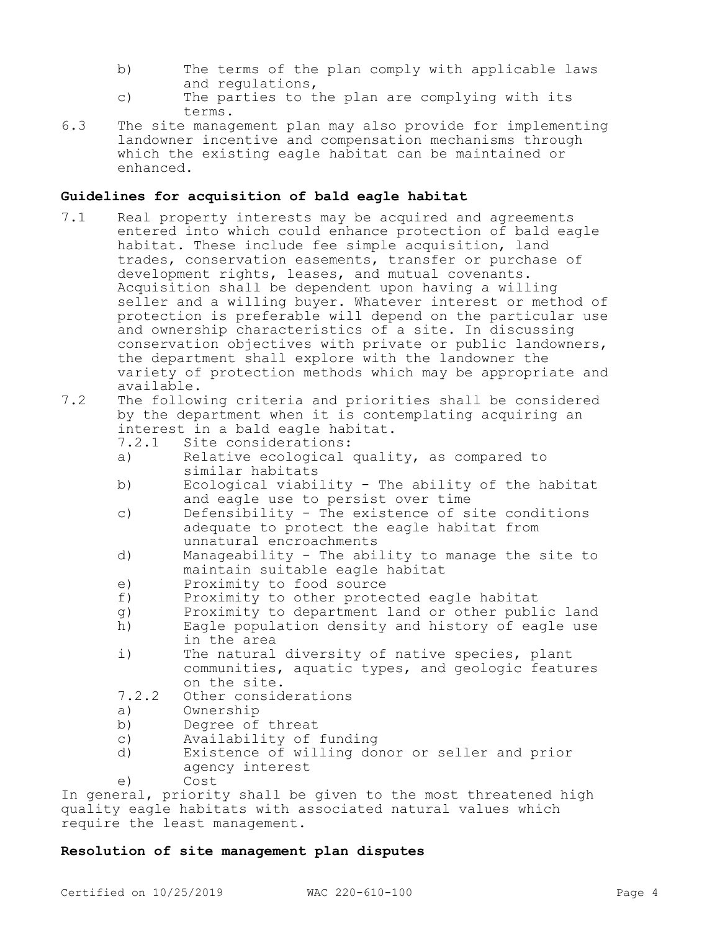- b) The terms of the plan comply with applicable laws and regulations,
- c) The parties to the plan are complying with its terms.
- 6.3 The site management plan may also provide for implementing landowner incentive and compensation mechanisms through which the existing eagle habitat can be maintained or enhanced.

#### **Guidelines for acquisition of bald eagle habitat**

- 7.1 Real property interests may be acquired and agreements entered into which could enhance protection of bald eagle habitat. These include fee simple acquisition, land trades, conservation easements, transfer or purchase of development rights, leases, and mutual covenants. Acquisition shall be dependent upon having a willing seller and a willing buyer. Whatever interest or method of protection is preferable will depend on the particular use and ownership characteristics of a site. In discussing conservation objectives with private or public landowners, the department shall explore with the landowner the variety of protection methods which may be appropriate and available.
- 7.2 The following criteria and priorities shall be considered by the department when it is contemplating acquiring an interest in a bald eagle habitat.
	- 7.2.1 Site considerations:
	- a) Relative ecological quality, as compared to similar habitats
	- b) Ecological viability The ability of the habitat and eagle use to persist over time
	- c) Defensibility The existence of site conditions adequate to protect the eagle habitat from unnatural encroachments
	- d) Manageability The ability to manage the site to maintain suitable eagle habitat
	- e) Proximity to food source<br>
	f) Proximity to other prote
	- Proximity to other protected eagle habitat
	- g) Proximity to department land or other public land
	- h) Eagle population density and history of eagle use in the area
	- i) The natural diversity of native species, plant communities, aquatic types, and geologic features on the site.
	- 7.2.2 Other considerations
	- a) Ownership<br>b) Degree of
	- Degree of threat
	- c) Availability of funding
	- d) Existence of willing donor or seller and prior agency interest

e) Cost

In general, priority shall be given to the most threatened high quality eagle habitats with associated natural values which require the least management.

## **Resolution of site management plan disputes**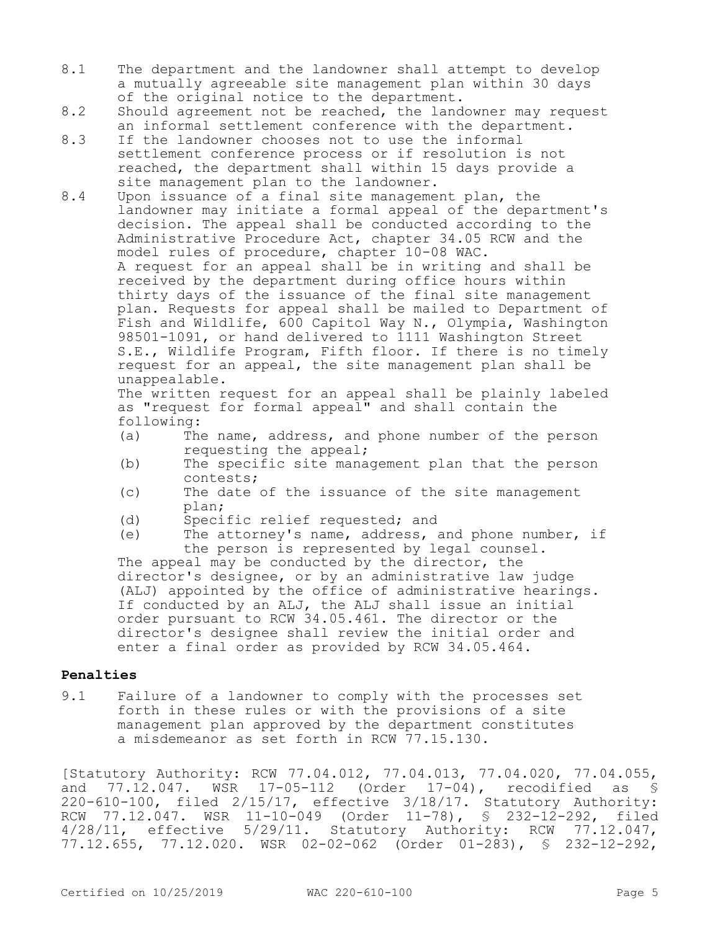- 8.1 The department and the landowner shall attempt to develop a mutually agreeable site management plan within 30 days of the original notice to the department.
- 8.2 Should agreement not be reached, the landowner may request an informal settlement conference with the department.
- 8.3 If the landowner chooses not to use the informal settlement conference process or if resolution is not reached, the department shall within 15 days provide a site management plan to the landowner.
- 8.4 Upon issuance of a final site management plan, the landowner may initiate a formal appeal of the department's decision. The appeal shall be conducted according to the Administrative Procedure Act, chapter 34.05 RCW and the model rules of procedure, chapter 10-08 WAC. A request for an appeal shall be in writing and shall be received by the department during office hours within thirty days of the issuance of the final site management plan. Requests for appeal shall be mailed to Department of Fish and Wildlife, 600 Capitol Way N., Olympia, Washington 98501-1091, or hand delivered to 1111 Washington Street S.E., Wildlife Program, Fifth floor. If there is no timely request for an appeal, the site management plan shall be unappealable.

The written request for an appeal shall be plainly labeled as "request for formal appeal" and shall contain the following:<br>(a) The

- The name, address, and phone number of the person requesting the appeal;
- (b) The specific site management plan that the person contests;
- (c) The date of the issuance of the site management plan;
- (d) Specific relief requested; and
- (e) The attorney's name, address, and phone number, if the person is represented by legal counsel.

The appeal may be conducted by the director, the director's designee, or by an administrative law judge (ALJ) appointed by the office of administrative hearings. If conducted by an ALJ, the ALJ shall issue an initial order pursuant to RCW 34.05.461. The director or the director's designee shall review the initial order and enter a final order as provided by RCW 34.05.464.

## **Penalties**

9.1 Failure of a landowner to comply with the processes set forth in these rules or with the provisions of a site management plan approved by the department constitutes a misdemeanor as set forth in RCW 77.15.130.

[Statutory Authority: RCW 77.04.012, 77.04.013, 77.04.020, 77.04.055, and 77.12.047. WSR 17-05-112 (Order 17-04), recodified as § 220-610-100, filed 2/15/17, effective 3/18/17. Statutory Authority: RCW 77.12.047. WSR 11-10-049 (Order 11-78), § 232-12-292, filed 4/28/11, effective 5/29/11. Statutory Authority: RCW 77.12.047, 77.12.655, 77.12.020. WSR 02-02-062 (Order 01-283), § 232-12-292,